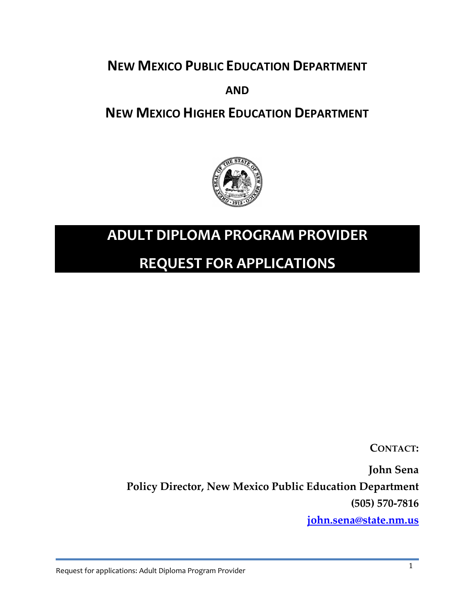**NEW MEXICO PUBLIC EDUCATION DEPARTMENT**

**AND**

**NEW MEXICO HIGHER EDUCATION DEPARTMENT**



## **ADULT DIPLOMA PROGRAM PROVIDER**

## **REQUEST FOR APPLICATIONS**

**CONTACT:**

**John Sena**

**Policy Director, New Mexico Public Education Department (505) 570-7816**

**[john.sena@state.nm.us](mailto:john.sena@state.nm.us)**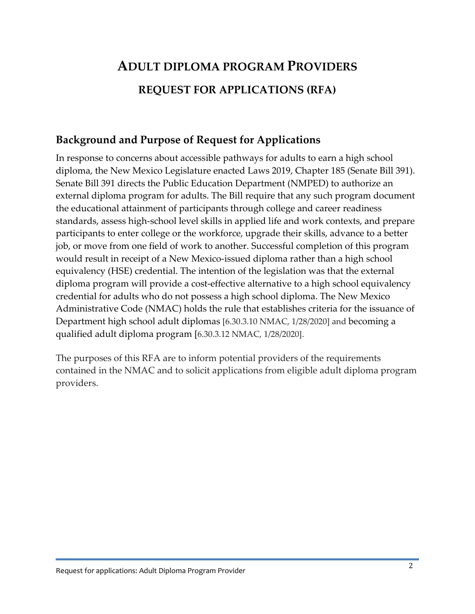# **ADULT DIPLOMA PROGRAM PROVIDERS REQUEST FOR APPLICATIONS (RFA)**

### **Background and Purpose of Request for Applications**

In response to concerns about accessible pathways for adults to earn a high school diploma, the New Mexico Legislature enacted Laws 2019, Chapter 185 (Senate Bill 391). Senate Bill 391 directs the Public Education Department (NMPED) to authorize an external diploma program for adults. The Bill require that any such program document the educational attainment of participants through college and career readiness standards, assess high-school level skills in applied life and work contexts, and prepare participants to enter college or the workforce, upgrade their skills, advance to a better job, or move from one field of work to another. Successful completion of this program would result in receipt of a New Mexico-issued diploma rather than a high school equivalency (HSE) credential. The intention of the legislation was that the external diploma program will provide a cost-effective alternative to a high school equivalency credential for adults who do not possess a high school diploma. The New Mexico Administrative Code (NMAC) holds the rule that establishes criteria for the issuance of Department high school adult diplomas [6.30.3.10 NMAC, 1/28/2020] and becoming a qualified adult diploma program [6.30.3.12 NMAC, 1/28/2020].

The purposes of this RFA are to inform potential providers of the requirements contained in the NMAC and to solicit applications from eligible adult diploma program providers.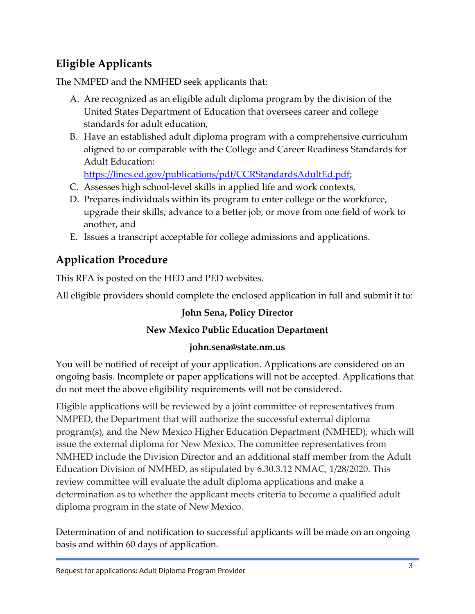## **Eligible Applicants**

The NMPED and the NMHED seek applicants that:

- A. Are recognized as an eligible adult diploma program by the division of the United States Department of Education that oversees career and college standards for adult education,
- B. Have an established adult diploma program with a comprehensive curriculum aligned to or comparable with the College and Career Readiness Standards for Adult Education:

[https://lincs.ed.gov/publications/pdf/CCRStandardsAdultEd.pdf;](https://lincs.ed.gov/publications/pdf/CCRStandardsAdultEd.pdf)

- C. Assesses high school-level skills in applied life and work contexts,
- D. Prepares individuals within its program to enter college or the workforce, upgrade their skills, advance to a better job, or move from one field of work to another, and
- E. Issues a transcript acceptable for college admissions and applications.

## **Application Procedure**

This RFA is posted on the HED and PED websites.

All eligible providers should complete the enclosed application in full and submit it to:

#### **John Sena, Policy Director**

#### **New Mexico Public Education Department**

#### **john.sena@state.nm.us**

You will be notified of receipt of your application. Applications are considered on an ongoing basis. Incomplete or paper applications will not be accepted. Applications that do not meet the above eligibility requirements will not be considered.

Eligible applications will be reviewed by a joint committee of representatives from NMPED, the Department that will authorize the successful external diploma program(s), and the New Mexico Higher Education Department (NMHED), which will issue the external diploma for New Mexico. The committee representatives from NMHED include the Division Director and an additional staff member from the Adult Education Division of NMHED, as stipulated by 6.30.3.12 NMAC, 1/28/2020. This review committee will evaluate the adult diploma applications and make a determination as to whether the applicant meets criteria to become a qualified adult diploma program in the state of New Mexico.

Determination of and notification to successful applicants will be made on an ongoing basis and within 60 days of application.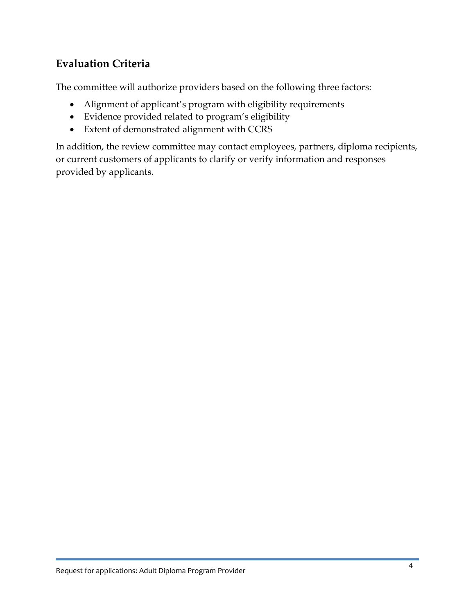### **Evaluation Criteria**

The committee will authorize providers based on the following three factors:

- Alignment of applicant's program with eligibility requirements
- Evidence provided related to program's eligibility
- Extent of demonstrated alignment with CCRS

In addition, the review committee may contact employees, partners, diploma recipients, or current customers of applicants to clarify or verify information and responses provided by applicants.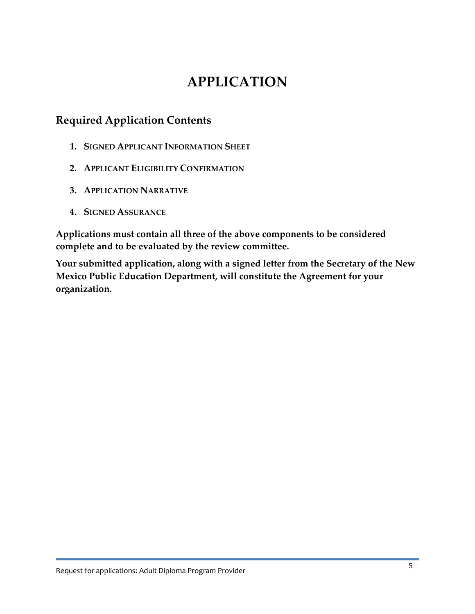## **APPLICATION**

### **Required Application Contents**

- **1. SIGNED APPLICANT INFORMATION SHEET**
- **2. APPLICANT ELIGIBILITY CONFIRMATION**
- **3. APPLICATION NARRATIVE**
- **4. SIGNED ASSURANCE**

**Applications must contain all three of the above components to be considered complete and to be evaluated by the review committee.** 

**Your submitted application, along with a signed letter from the Secretary of the New Mexico Public Education Department, will constitute the Agreement for your organization.**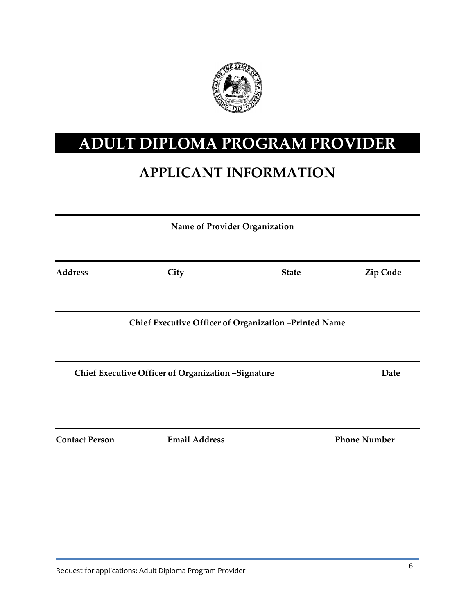

# **ADULT DIPLOMA PROGRAM PROVIDER**

# **APPLICANT INFORMATION**

| Name of Provider Organization                      |                                                       |              |                     |
|----------------------------------------------------|-------------------------------------------------------|--------------|---------------------|
| <b>Address</b>                                     | City                                                  | <b>State</b> | <b>Zip Code</b>     |
|                                                    | Chief Executive Officer of Organization -Printed Name |              |                     |
| Chief Executive Officer of Organization -Signature |                                                       |              | Date                |
| <b>Contact Person</b>                              | <b>Email Address</b>                                  |              | <b>Phone Number</b> |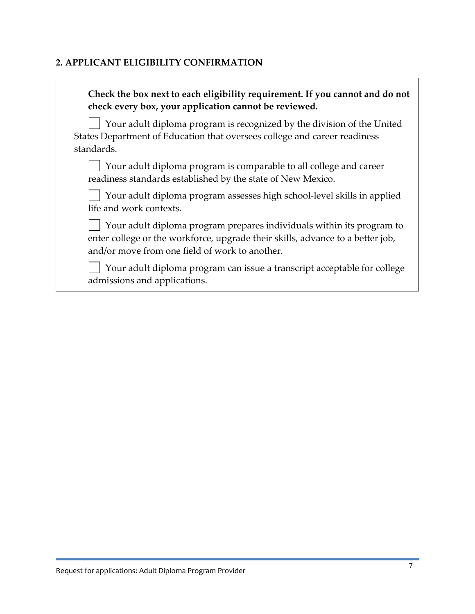#### **2. APPLICANT ELIGIBILITY CONFIRMATION**

| Check the box next to each eligibility requirement. If you cannot and do not<br>check every box, your application cannot be reviewed.                                                                     |
|-----------------------------------------------------------------------------------------------------------------------------------------------------------------------------------------------------------|
| Your adult diploma program is recognized by the division of the United<br>States Department of Education that oversees college and career readiness<br>standards.                                         |
| Your adult diploma program is comparable to all college and career<br>readiness standards established by the state of New Mexico.                                                                         |
| Your adult diploma program assesses high school-level skills in applied<br>life and work contexts.                                                                                                        |
| Your adult diploma program prepares individuals within its program to<br>enter college or the workforce, upgrade their skills, advance to a better job,<br>and/or move from one field of work to another. |
| Your adult diploma program can issue a transcript acceptable for college<br>admissions and applications.                                                                                                  |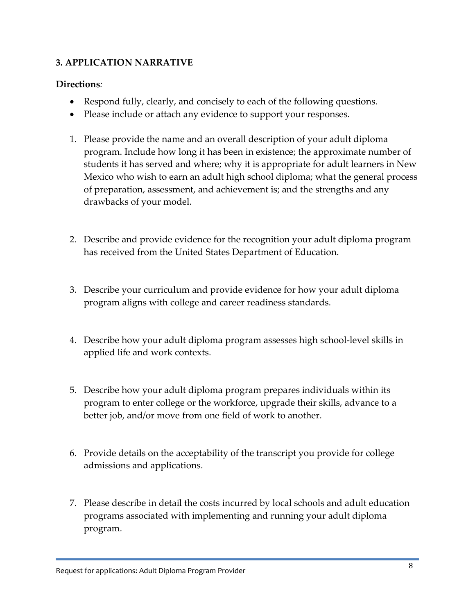#### **3. APPLICATION NARRATIVE**

#### **Directions***:*

- Respond fully, clearly, and concisely to each of the following questions.
- Please include or attach any evidence to support your responses.
- 1. Please provide the name and an overall description of your adult diploma program. Include how long it has been in existence; the approximate number of students it has served and where; why it is appropriate for adult learners in New Mexico who wish to earn an adult high school diploma; what the general process of preparation, assessment, and achievement is; and the strengths and any drawbacks of your model.
- 2. Describe and provide evidence for the recognition your adult diploma program has received from the United States Department of Education.
- 3. Describe your curriculum and provide evidence for how your adult diploma program aligns with college and career readiness standards.
- 4. Describe how your adult diploma program assesses high school-level skills in applied life and work contexts.
- 5. Describe how your adult diploma program prepares individuals within its program to enter college or the workforce, upgrade their skills, advance to a better job, and/or move from one field of work to another.
- 6. Provide details on the acceptability of the transcript you provide for college admissions and applications.
- 7. Please describe in detail the costs incurred by local schools and adult education programs associated with implementing and running your adult diploma program.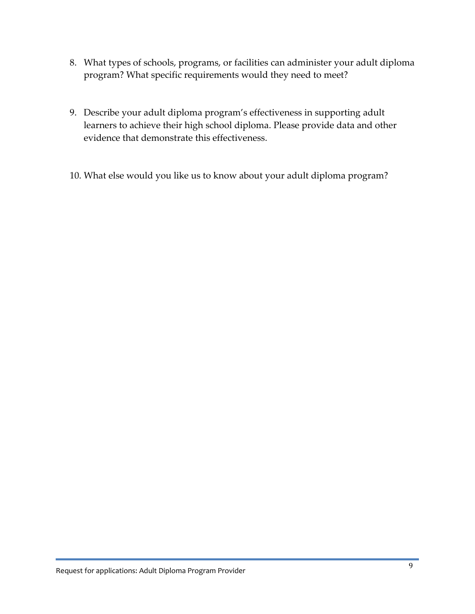- 8. What types of schools, programs, or facilities can administer your adult diploma program? What specific requirements would they need to meet?
- 9. Describe your adult diploma program's effectiveness in supporting adult learners to achieve their high school diploma. Please provide data and other evidence that demonstrate this effectiveness.
- 10. What else would you like us to know about your adult diploma program?